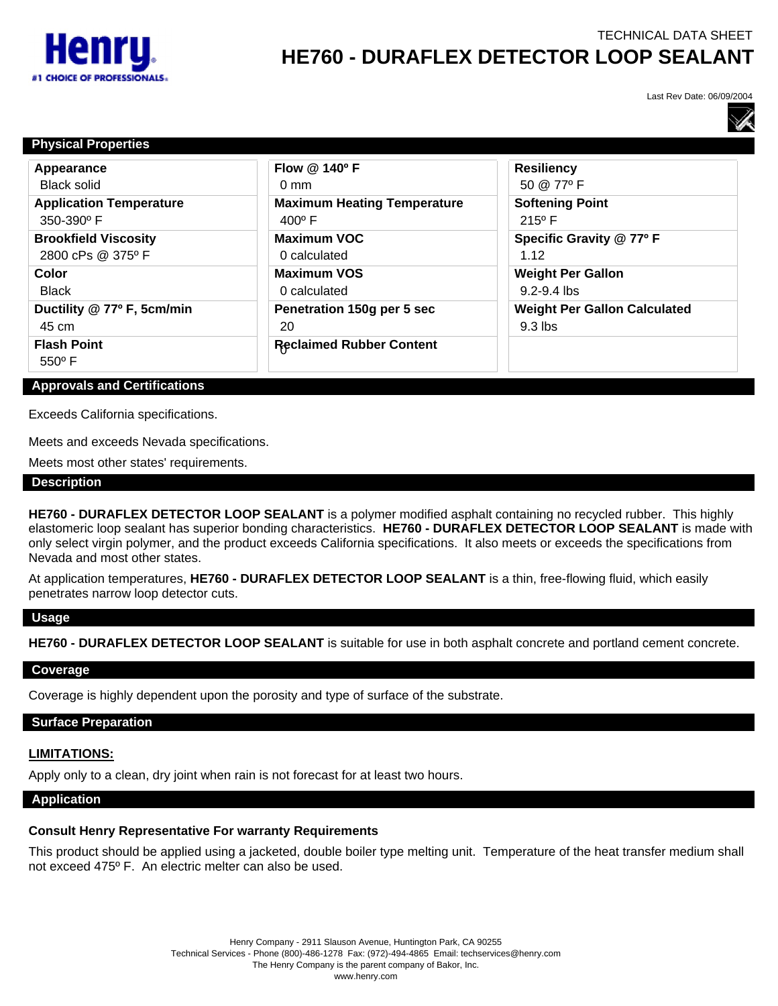

# TECHNICAL DATA SHEET **HE760 - DURAFLEX DETECTOR LOOP SEALANT**

Last Rev Date: 06/09/2004



| <b>Physical Properties</b>            |                                    |                                     |
|---------------------------------------|------------------------------------|-------------------------------------|
| Appearance                            | Flow @ 140°F                       | <b>Resiliency</b>                   |
| <b>Black solid</b>                    | $0 \text{ mm}$                     | 50 @ 77°F                           |
| <b>Application Temperature</b>        | <b>Maximum Heating Temperature</b> | <b>Softening Point</b>              |
| 350-390° F                            | $400^{\circ}$ F                    | $215^{\circ}$ F                     |
| <b>Brookfield Viscosity</b>           | <b>Maximum VOC</b>                 | Specific Gravity @ 77º F            |
| 2800 cPs @ 375°F                      | 0 calculated                       | 1.12                                |
| Color                                 | <b>Maximum VOS</b>                 | <b>Weight Per Gallon</b>            |
| <b>Black</b>                          | 0 calculated                       | $9.2 - 9.4$ lbs                     |
| Ductility @ 77º F, 5cm/min            | Penetration 150g per 5 sec         | <b>Weight Per Gallon Calculated</b> |
| 45 cm                                 | 20                                 | $9.3$ lbs                           |
| <b>Flash Point</b><br>$550^{\circ}$ F | <b>Reclaimed Rubber Content</b>    |                                     |

#### **Approvals and Certifications**

Exceeds California specifications.

Meets and exceeds Nevada specifications.

Meets most other states' requirements.

#### **Description**

**HE760 - DURAFLEX DETECTOR LOOP SEALANT** is a polymer modified asphalt containing no recycled rubber. This highly elastomeric loop sealant has superior bonding characteristics. **HE760 - DURAFLEX DETECTOR LOOP SEALANT** is made with only select virgin polymer, and the product exceeds California specifications. It also meets or exceeds the specifications from Nevada and most other states.

At application temperatures, **HE760 - DURAFLEX DETECTOR LOOP SEALANT** is a thin, free-flowing fluid, which easily penetrates narrow loop detector cuts.

#### **Usage**

**HE760 - DURAFLEX DETECTOR LOOP SEALANT** is suitable for use in both asphalt concrete and portland cement concrete.

## **Coverage**

Coverage is highly dependent upon the porosity and type of surface of the substrate.

# **Surface Preparation**

# **LIMITATIONS:**

Apply only to a clean, dry joint when rain is not forecast for at least two hours.

#### **Application**

# **Consult Henry Representative For warranty Requirements**

This product should be applied using a jacketed, double boiler type melting unit. Temperature of the heat transfer medium shall not exceed 475º F. An electric melter can also be used.